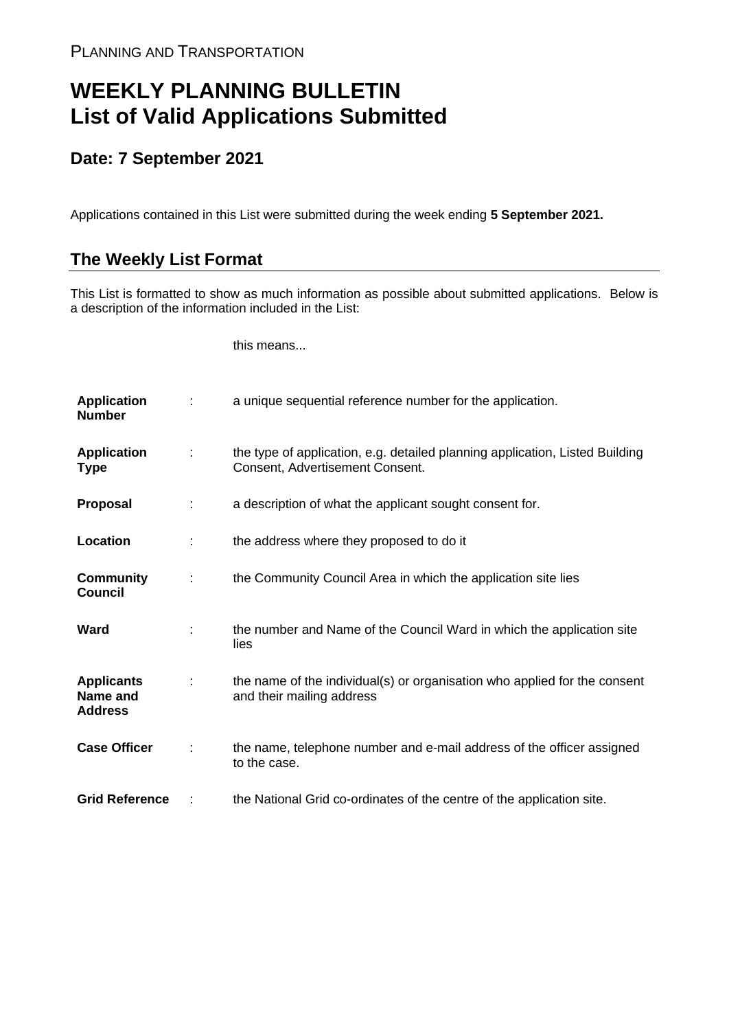## **WEEKLY PLANNING BULLETIN List of Valid Applications Submitted**

## **Date: 7 September 2021**

Applications contained in this List were submitted during the week ending **5 September 2021.**

## **The Weekly List Format**

This List is formatted to show as much information as possible about submitted applications. Below is a description of the information included in the List:

this means...

| <b>Application</b><br><b>Number</b>             |   | a unique sequential reference number for the application.                                                       |
|-------------------------------------------------|---|-----------------------------------------------------------------------------------------------------------------|
| <b>Application</b><br>Type                      | ٠ | the type of application, e.g. detailed planning application, Listed Building<br>Consent, Advertisement Consent. |
| <b>Proposal</b>                                 |   | a description of what the applicant sought consent for.                                                         |
| Location                                        |   | the address where they proposed to do it                                                                        |
| <b>Community</b><br><b>Council</b>              |   | the Community Council Area in which the application site lies                                                   |
| Ward                                            |   | the number and Name of the Council Ward in which the application site<br>lies                                   |
| <b>Applicants</b><br>Name and<br><b>Address</b> |   | the name of the individual(s) or organisation who applied for the consent<br>and their mailing address          |
| <b>Case Officer</b>                             |   | the name, telephone number and e-mail address of the officer assigned<br>to the case.                           |
| <b>Grid Reference</b>                           |   | the National Grid co-ordinates of the centre of the application site.                                           |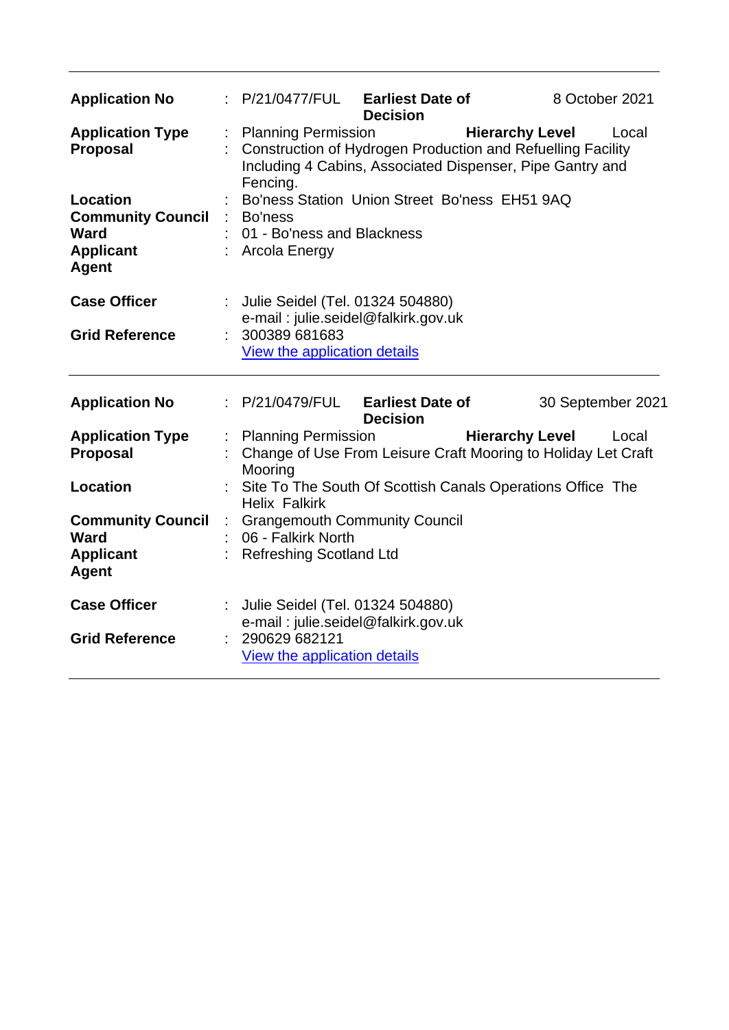| <b>Application No</b>                                                                          |    | : P/21/0477/FUL                                                                                        | <b>Earliest Date of</b><br><b>Decision</b>                |                        | 8 October 2021    |       |
|------------------------------------------------------------------------------------------------|----|--------------------------------------------------------------------------------------------------------|-----------------------------------------------------------|------------------------|-------------------|-------|
| <b>Application Type</b><br><b>Proposal</b>                                                     |    | <b>Planning Permission</b><br>Construction of Hydrogen Production and Refuelling Facility<br>Fencing.  | Including 4 Cabins, Associated Dispenser, Pipe Gantry and | <b>Hierarchy Level</b> |                   | Local |
| <b>Location</b><br><b>Community Council</b><br><b>Ward</b><br><b>Applicant</b><br><b>Agent</b> |    | Bo'ness<br>01 - Bo'ness and Blackness<br><b>Arcola Energy</b>                                          | Bo'ness Station Union Street Bo'ness EH51 9AQ             |                        |                   |       |
| <b>Case Officer</b><br><b>Grid Reference</b>                                                   |    | Julie Seidel (Tel. 01324 504880)<br>300389 681683<br>View the application details                      | e-mail: julie.seidel@falkirk.gov.uk                       |                        |                   |       |
| <b>Application No</b>                                                                          |    | : P/21/0479/FUL                                                                                        | <b>Earliest Date of</b><br><b>Decision</b>                |                        | 30 September 2021 |       |
| <b>Application Type</b><br><b>Proposal</b>                                                     |    | <b>Planning Permission</b><br>Change of Use From Leisure Craft Mooring to Holiday Let Craft<br>Mooring |                                                           | <b>Hierarchy Level</b> |                   | Local |
| <b>Location</b>                                                                                |    | Site To The South Of Scottish Canals Operations Office The<br><b>Helix Falkirk</b>                     |                                                           |                        |                   |       |
| <b>Community Council</b><br>Ward<br><b>Applicant</b><br><b>Agent</b>                           | ÷. | 06 - Falkirk North<br><b>Refreshing Scotland Ltd</b>                                                   | <b>Grangemouth Community Council</b>                      |                        |                   |       |
|                                                                                                |    |                                                                                                        |                                                           |                        |                   |       |
| <b>Case Officer</b><br><b>Grid Reference</b>                                                   |    | Julie Seidel (Tel. 01324 504880)<br>290629 682121                                                      | e-mail: julie.seidel@falkirk.gov.uk                       |                        |                   |       |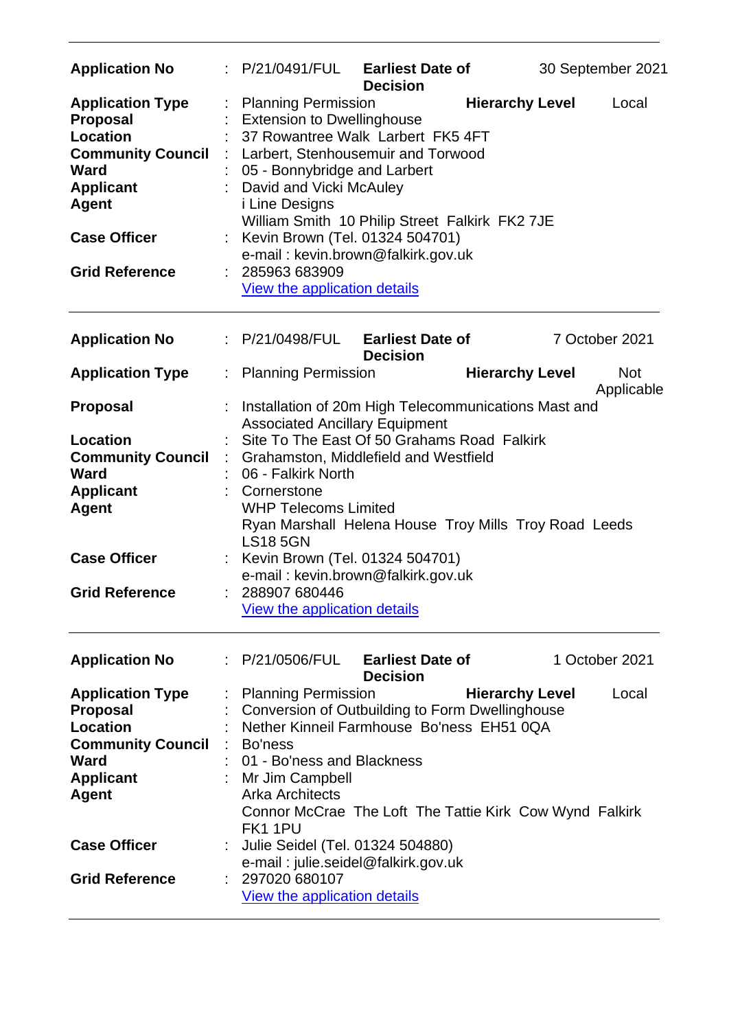| <b>Application No</b>                                                                                                                                                                        | P/21/0491/FUL<br><b>Earliest Date of</b><br><b>Decision</b>                                                                                                                                                                                                                                                                                                                                                       |                        | 30 September 2021        |
|----------------------------------------------------------------------------------------------------------------------------------------------------------------------------------------------|-------------------------------------------------------------------------------------------------------------------------------------------------------------------------------------------------------------------------------------------------------------------------------------------------------------------------------------------------------------------------------------------------------------------|------------------------|--------------------------|
| <b>Application Type</b><br><b>Proposal</b><br><b>Location</b><br><b>Community Council</b><br><b>Ward</b><br><b>Applicant</b><br><b>Agent</b><br><b>Case Officer</b><br><b>Grid Reference</b> | <b>Planning Permission</b><br><b>Extension to Dwellinghouse</b><br>37 Rowantree Walk Larbert FK5 4FT<br>Larbert, Stenhousemuir and Torwood<br>05 - Bonnybridge and Larbert<br>David and Vicki McAuley<br><i>i</i> Line Designs<br>William Smith 10 Philip Street Falkirk FK2 7JE<br>Kevin Brown (Tel. 01324 504701)<br>e-mail: kevin.brown@falkirk.gov.uk<br>285963 683909<br><b>View the application details</b> | <b>Hierarchy Level</b> | Local                    |
| <b>Application No</b>                                                                                                                                                                        | : P/21/0498/FUL<br><b>Earliest Date of</b><br><b>Decision</b>                                                                                                                                                                                                                                                                                                                                                     |                        | 7 October 2021           |
| <b>Application Type</b>                                                                                                                                                                      | <b>Planning Permission</b>                                                                                                                                                                                                                                                                                                                                                                                        | <b>Hierarchy Level</b> | <b>Not</b><br>Applicable |
| <b>Proposal</b>                                                                                                                                                                              | Installation of 20m High Telecommunications Mast and<br><b>Associated Ancillary Equipment</b>                                                                                                                                                                                                                                                                                                                     |                        |                          |
| <b>Location</b>                                                                                                                                                                              | Site To The East Of 50 Grahams Road Falkirk                                                                                                                                                                                                                                                                                                                                                                       |                        |                          |
| <b>Community Council</b><br><b>Ward</b>                                                                                                                                                      | Grahamston, Middlefield and Westfield<br>06 - Falkirk North                                                                                                                                                                                                                                                                                                                                                       |                        |                          |
| <b>Applicant</b>                                                                                                                                                                             | Cornerstone                                                                                                                                                                                                                                                                                                                                                                                                       |                        |                          |
| <b>Agent</b>                                                                                                                                                                                 | <b>WHP Telecoms Limited</b><br>Ryan Marshall Helena House Troy Mills Troy Road Leeds<br><b>LS18 5GN</b>                                                                                                                                                                                                                                                                                                           |                        |                          |
| <b>Case Officer</b>                                                                                                                                                                          | Kevin Brown (Tel. 01324 504701)                                                                                                                                                                                                                                                                                                                                                                                   |                        |                          |
| <b>Grid Reference</b>                                                                                                                                                                        | e-mail: kevin.brown@falkirk.gov.uk<br>288907 680446                                                                                                                                                                                                                                                                                                                                                               |                        |                          |
|                                                                                                                                                                                              | View the application details                                                                                                                                                                                                                                                                                                                                                                                      |                        |                          |
| <b>Application No</b>                                                                                                                                                                        | P/21/0506/FUL<br><b>Earliest Date of</b><br><b>Decision</b>                                                                                                                                                                                                                                                                                                                                                       |                        | 1 October 2021           |
| <b>Application Type</b>                                                                                                                                                                      | <b>Planning Permission</b>                                                                                                                                                                                                                                                                                                                                                                                        | <b>Hierarchy Level</b> | Local                    |
| <b>Proposal</b><br><b>Location</b>                                                                                                                                                           | Conversion of Outbuilding to Form Dwellinghouse<br>Nether Kinneil Farmhouse Bo'ness EH51 0QA                                                                                                                                                                                                                                                                                                                      |                        |                          |
| <b>Community Council</b>                                                                                                                                                                     | Bo'ness                                                                                                                                                                                                                                                                                                                                                                                                           |                        |                          |
| <b>Ward</b>                                                                                                                                                                                  | 01 - Bo'ness and Blackness                                                                                                                                                                                                                                                                                                                                                                                        |                        |                          |
| <b>Applicant</b><br><b>Agent</b>                                                                                                                                                             | Mr Jim Campbell<br><b>Arka Architects</b><br>Connor McCrae The Loft The Tattie Kirk Cow Wynd Falkirk<br>FK11PU                                                                                                                                                                                                                                                                                                    |                        |                          |
| <b>Case Officer</b>                                                                                                                                                                          | Julie Seidel (Tel. 01324 504880)                                                                                                                                                                                                                                                                                                                                                                                  |                        |                          |
| <b>Grid Reference</b>                                                                                                                                                                        | e-mail: julie.seidel@falkirk.gov.uk<br>297020 680107                                                                                                                                                                                                                                                                                                                                                              |                        |                          |
|                                                                                                                                                                                              | View the application details                                                                                                                                                                                                                                                                                                                                                                                      |                        |                          |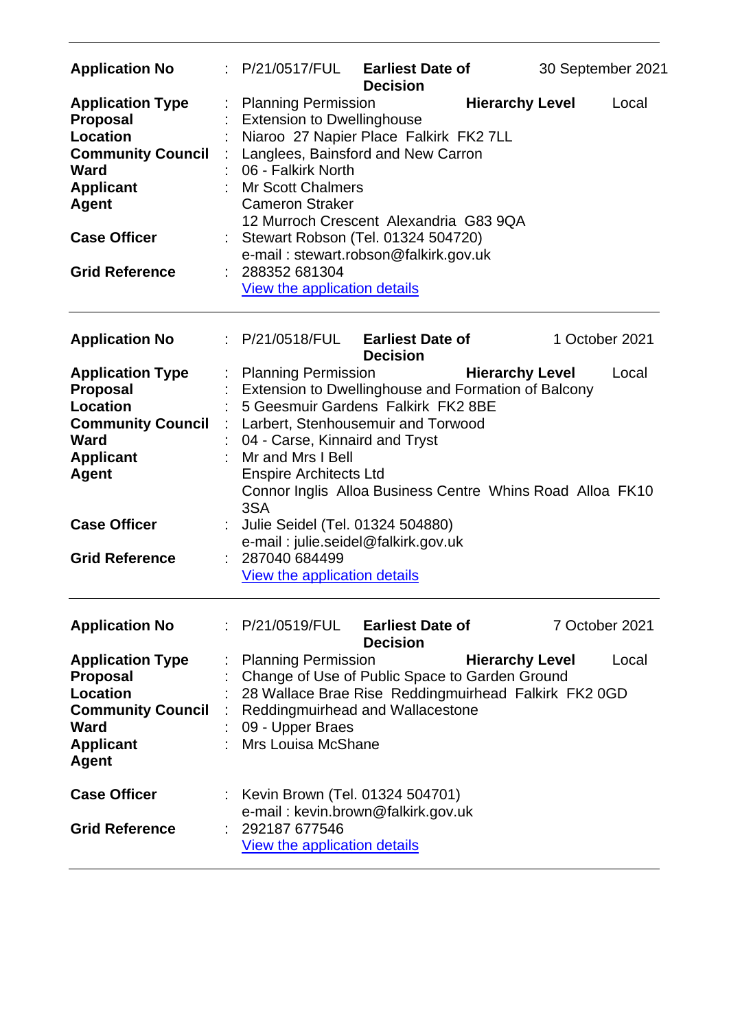| <b>Application No</b>                                                                                                                                                                        | : P/21/0517/FUL                                                                                                                                                                                                                                              | <b>Earliest Date of</b><br><b>Decision</b>                                                                                                                                                            | 30 September 2021                                                                   |       |
|----------------------------------------------------------------------------------------------------------------------------------------------------------------------------------------------|--------------------------------------------------------------------------------------------------------------------------------------------------------------------------------------------------------------------------------------------------------------|-------------------------------------------------------------------------------------------------------------------------------------------------------------------------------------------------------|-------------------------------------------------------------------------------------|-------|
| <b>Application Type</b><br><b>Proposal</b><br><b>Location</b><br><b>Community Council</b><br><b>Ward</b><br><b>Applicant</b><br><b>Agent</b><br><b>Case Officer</b><br><b>Grid Reference</b> | <b>Planning Permission</b><br><b>Extension to Dwellinghouse</b><br>06 - Falkirk North<br><b>Mr Scott Chalmers</b><br><b>Cameron Straker</b><br>288352 681304<br><b>View the application details</b>                                                          | Niaroo 27 Napier Place Falkirk FK2 7LL<br>Langlees, Bainsford and New Carron<br>12 Murroch Crescent Alexandria G83 9QA<br>Stewart Robson (Tel. 01324 504720)<br>e-mail: stewart.robson@falkirk.gov.uk | <b>Hierarchy Level</b>                                                              | Local |
| <b>Application No</b>                                                                                                                                                                        | : P/21/0518/FUL                                                                                                                                                                                                                                              | <b>Earliest Date of</b><br><b>Decision</b>                                                                                                                                                            | 1 October 2021                                                                      |       |
| <b>Application Type</b><br><b>Proposal</b><br>Location<br><b>Community Council</b><br>Ward<br><b>Applicant</b><br><b>Agent</b><br><b>Case Officer</b><br><b>Grid Reference</b>               | <b>Planning Permission</b><br>04 - Carse, Kinnaird and Tryst<br>Mr and Mrs I Bell<br><b>Enspire Architects Ltd</b><br>3SA<br>Julie Seidel (Tel. 01324 504880)<br>e-mail: julie.seidel@falkirk.gov.uk<br>287040 684499<br><b>View the application details</b> | Extension to Dwellinghouse and Formation of Balcony<br>5 Geesmuir Gardens Falkirk FK2 8BE<br>Larbert, Stenhousemuir and Torwood                                                                       | <b>Hierarchy Level</b><br>Connor Inglis Alloa Business Centre Whins Road Alloa FK10 | Local |
| <b>Application No</b>                                                                                                                                                                        | P/21/0519/FUL                                                                                                                                                                                                                                                | <b>Earliest Date of</b><br><b>Decision</b>                                                                                                                                                            | 7 October 2021                                                                      |       |
| <b>Application Type</b><br><b>Proposal</b><br><b>Location</b><br><b>Community Council</b><br><b>Ward</b><br><b>Applicant</b><br><b>Agent</b>                                                 | <b>Planning Permission</b><br>09 - Upper Braes<br>Mrs Louisa McShane                                                                                                                                                                                         | Change of Use of Public Space to Garden Ground<br>Reddingmuirhead and Wallacestone                                                                                                                    | <b>Hierarchy Level</b><br>28 Wallace Brae Rise Reddingmuirhead Falkirk FK2 0GD      | Local |
| <b>Case Officer</b><br><b>Grid Reference</b>                                                                                                                                                 | Kevin Brown (Tel. 01324 504701)<br>292187 677546<br>View the application details                                                                                                                                                                             | e-mail: kevin.brown@falkirk.gov.uk                                                                                                                                                                    |                                                                                     |       |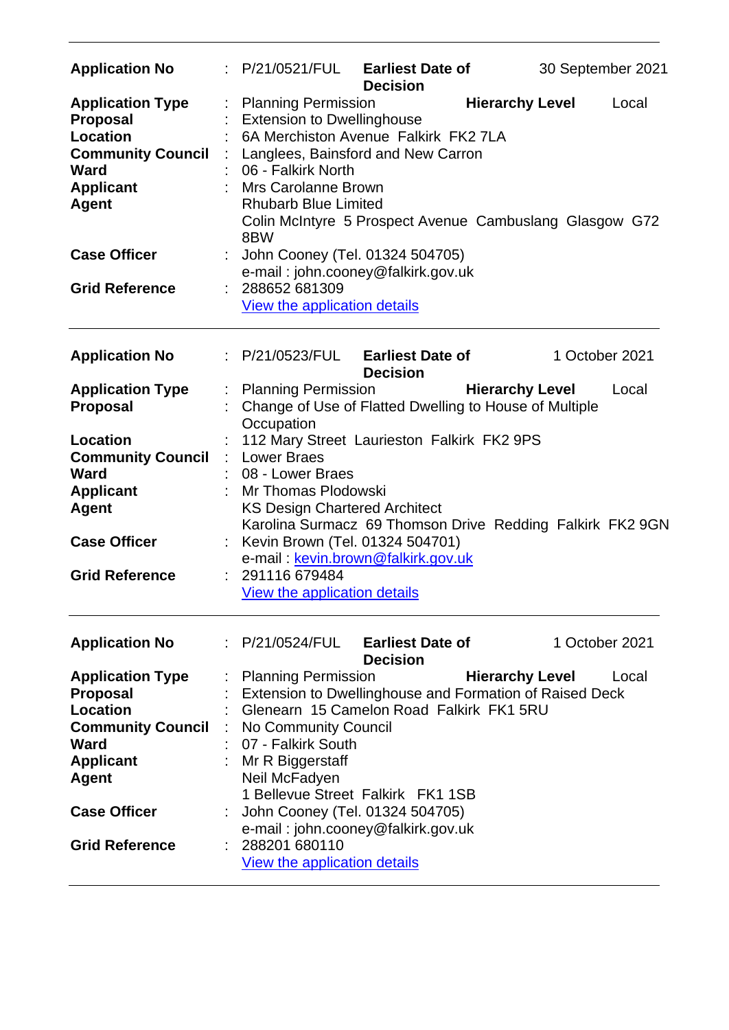| <b>Application No</b>                                                                                                                                                          | $\therefore$ P/21/0521/FUL Earliest Date of                                                                                                                                                                                                                                                                                                         | <b>Decision</b>                            |                        | 30 September 2021 |       |
|--------------------------------------------------------------------------------------------------------------------------------------------------------------------------------|-----------------------------------------------------------------------------------------------------------------------------------------------------------------------------------------------------------------------------------------------------------------------------------------------------------------------------------------------------|--------------------------------------------|------------------------|-------------------|-------|
| <b>Application Type</b><br><b>Proposal</b><br><b>Location</b><br><b>Community Council</b><br>Ward<br><b>Applicant</b><br><b>Agent</b>                                          | <b>Planning Permission</b><br><b>Extension to Dwellinghouse</b><br>6A Merchiston Avenue Falkirk FK2 7LA<br>Langlees, Bainsford and New Carron<br>06 - Falkirk North<br>: Mrs Carolanne Brown<br><b>Rhubarb Blue Limited</b><br>Colin McIntyre 5 Prospect Avenue Cambuslang Glasgow G72<br>8BW                                                       |                                            | <b>Hierarchy Level</b> |                   | Local |
| <b>Case Officer</b>                                                                                                                                                            | John Cooney (Tel. 01324 504705)<br>e-mail: john.cooney@falkirk.gov.uk                                                                                                                                                                                                                                                                               |                                            |                        |                   |       |
| <b>Grid Reference</b>                                                                                                                                                          | 288652 681309<br>View the application details                                                                                                                                                                                                                                                                                                       |                                            |                        |                   |       |
| <b>Application No</b>                                                                                                                                                          | : P/21/0523/FUL                                                                                                                                                                                                                                                                                                                                     | <b>Earliest Date of</b><br><b>Decision</b> |                        | 1 October 2021    |       |
| <b>Application Type</b><br><b>Proposal</b>                                                                                                                                     | <b>Planning Permission</b><br>Change of Use of Flatted Dwelling to House of Multiple<br>Occupation                                                                                                                                                                                                                                                  |                                            | <b>Hierarchy Level</b> |                   | Local |
| <b>Location</b><br><b>Community Council</b><br>Ward<br><b>Applicant</b><br><b>Agent</b>                                                                                        | 112 Mary Street Laurieston Falkirk FK2 9PS<br><b>Lower Braes</b><br>08 - Lower Braes<br>Mr Thomas Plodowski<br><b>KS Design Chartered Architect</b>                                                                                                                                                                                                 |                                            |                        |                   |       |
| <b>Case Officer</b>                                                                                                                                                            | Karolina Surmacz 69 Thomson Drive Redding Falkirk FK2 9GN<br>Kevin Brown (Tel. 01324 504701)<br>e-mail: kevin.brown@falkirk.gov.uk                                                                                                                                                                                                                  |                                            |                        |                   |       |
| <b>Grid Reference</b>                                                                                                                                                          | 291116 679484<br>View the application details                                                                                                                                                                                                                                                                                                       |                                            |                        |                   |       |
| <b>Application No</b>                                                                                                                                                          | P/21/0524/FUL                                                                                                                                                                                                                                                                                                                                       | <b>Earliest Date of</b><br><b>Decision</b> |                        | 1 October 2021    |       |
| <b>Application Type</b><br><b>Proposal</b><br>Location<br><b>Community Council</b><br><b>Ward</b><br><b>Applicant</b><br>Agent<br><b>Case Officer</b><br><b>Grid Reference</b> | <b>Planning Permission</b><br>Extension to Dwellinghouse and Formation of Raised Deck<br>Glenearn 15 Camelon Road Falkirk FK1 5RU<br>No Community Council<br>07 - Falkirk South<br>Mr R Biggerstaff<br>Neil McFadyen<br>1 Bellevue Street Falkirk FK1 1SB<br>John Cooney (Tel. 01324 504705)<br>e-mail: john.cooney@falkirk.gov.uk<br>288201 680110 |                                            | <b>Hierarchy Level</b> |                   | Local |
|                                                                                                                                                                                | View the application details                                                                                                                                                                                                                                                                                                                        |                                            |                        |                   |       |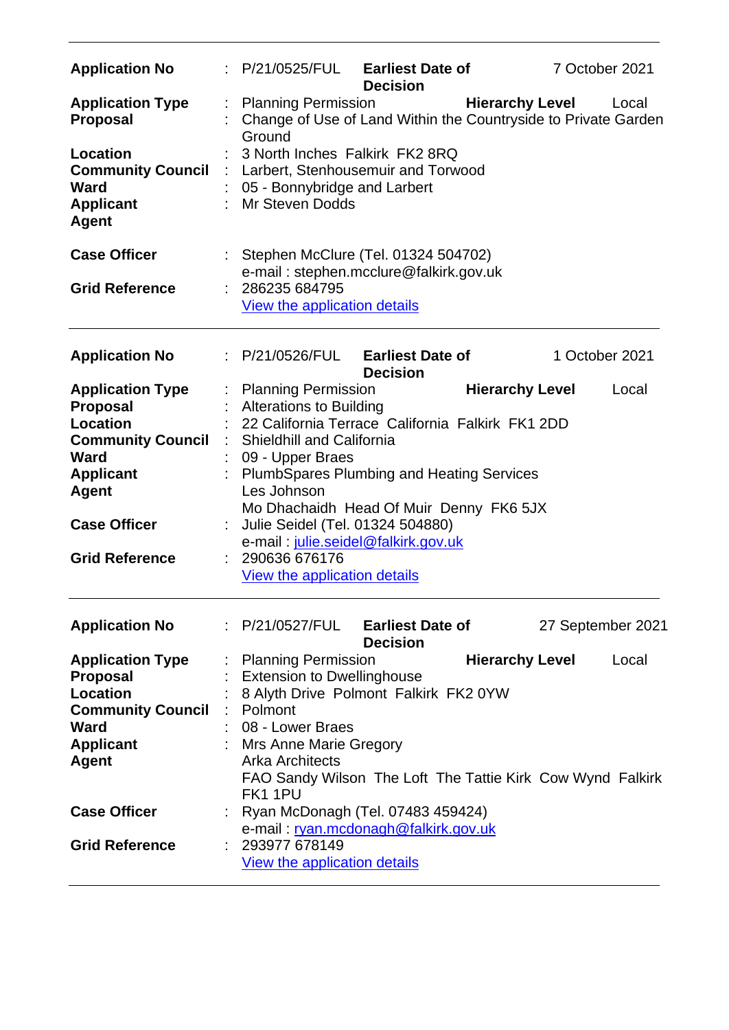| <b>Application No</b>                                                                   | $\therefore$ P/21/0525/FUL Earliest Date of                                                                             | <b>Decision</b>                            |                        | 7 October 2021         |       |
|-----------------------------------------------------------------------------------------|-------------------------------------------------------------------------------------------------------------------------|--------------------------------------------|------------------------|------------------------|-------|
| <b>Application Type</b><br><b>Proposal</b>                                              | <b>Planning Permission</b><br>Change of Use of Land Within the Countryside to Private Garden<br>Ground                  |                                            |                        | <b>Hierarchy Level</b> | Local |
| Location<br><b>Community Council</b><br><b>Ward</b><br><b>Applicant</b><br><b>Agent</b> | 3 North Inches Falkirk FK2 8RQ<br>Larbert, Stenhousemuir and Torwood<br>05 - Bonnybridge and Larbert<br>Mr Steven Dodds |                                            |                        |                        |       |
| <b>Case Officer</b>                                                                     | Stephen McClure (Tel. 01324 504702)<br>e-mail: stephen.mcclure@falkirk.gov.uk                                           |                                            |                        |                        |       |
| <b>Grid Reference</b>                                                                   | 286235 684795<br>View the application details                                                                           |                                            |                        |                        |       |
| <b>Application No</b>                                                                   | : P/21/0526/FUL                                                                                                         | <b>Earliest Date of</b><br><b>Decision</b> |                        | 1 October 2021         |       |
| <b>Application Type</b>                                                                 | : Planning Permission                                                                                                   |                                            | <b>Hierarchy Level</b> |                        | Local |
| <b>Proposal</b>                                                                         | <b>Alterations to Building</b>                                                                                          |                                            |                        |                        |       |
| Location                                                                                | 22 California Terrace California Falkirk FK1 2DD                                                                        |                                            |                        |                        |       |
| <b>Community Council</b>                                                                | <b>Shieldhill and California</b>                                                                                        |                                            |                        |                        |       |
| <b>Ward</b>                                                                             | 09 - Upper Braes                                                                                                        |                                            |                        |                        |       |
| <b>Applicant</b>                                                                        |                                                                                                                         |                                            |                        |                        |       |
| <b>Agent</b>                                                                            | <b>PlumbSpares Plumbing and Heating Services</b><br>Les Johnson                                                         |                                            |                        |                        |       |
|                                                                                         | Mo Dhachaidh Head Of Muir Denny FK6 5JX                                                                                 |                                            |                        |                        |       |
| <b>Case Officer</b>                                                                     | Julie Seidel (Tel. 01324 504880)                                                                                        |                                            |                        |                        |       |
|                                                                                         | e-mail: julie.seidel@falkirk.gov.uk                                                                                     |                                            |                        |                        |       |
| <b>Grid Reference</b>                                                                   | 290636 676176                                                                                                           |                                            |                        |                        |       |
|                                                                                         | View the application details                                                                                            |                                            |                        |                        |       |
| <b>Application No</b>                                                                   | : P/21/0527/FUL                                                                                                         | <b>Earliest Date of</b><br><b>Decision</b> |                        | 27 September 2021      |       |
| <b>Application Type</b>                                                                 | <b>Planning Permission</b>                                                                                              |                                            | <b>Hierarchy Level</b> |                        | Local |
| <b>Proposal</b>                                                                         | <b>Extension to Dwellinghouse</b>                                                                                       |                                            |                        |                        |       |
| <b>Location</b>                                                                         | 8 Alyth Drive Polmont Falkirk FK2 0YW                                                                                   |                                            |                        |                        |       |
| <b>Community Council</b>                                                                | Polmont                                                                                                                 |                                            |                        |                        |       |
| <b>Ward</b>                                                                             | 08 - Lower Braes                                                                                                        |                                            |                        |                        |       |
| <b>Applicant</b>                                                                        | Mrs Anne Marie Gregory                                                                                                  |                                            |                        |                        |       |
| <b>Agent</b>                                                                            | <b>Arka Architects</b>                                                                                                  |                                            |                        |                        |       |
|                                                                                         | FAO Sandy Wilson The Loft The Tattie Kirk Cow Wynd Falkirk<br>FK11PU                                                    |                                            |                        |                        |       |
| <b>Case Officer</b>                                                                     | Ryan McDonagh (Tel. 07483 459424)                                                                                       |                                            |                        |                        |       |
|                                                                                         | e-mail: ryan.mcdonagh@falkirk.gov.uk                                                                                    |                                            |                        |                        |       |
| <b>Grid Reference</b>                                                                   | 293977 678149                                                                                                           |                                            |                        |                        |       |
|                                                                                         | <b>View the application details</b>                                                                                     |                                            |                        |                        |       |